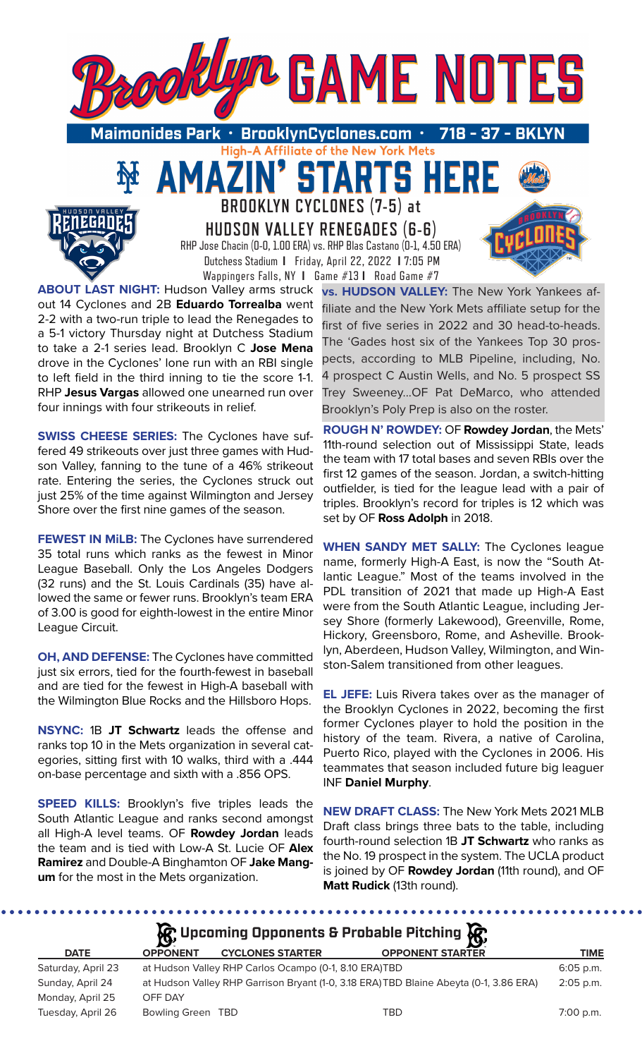

High-A Affiliate of the New York Mets

**TARTS** 

**BROOKLYN CYCLONES (7-5) at HUDSON VALLEY RENEGADES (6-6)** RHP Jose Chacin (0-0, 1.00 ERA) vs. RHP Blas Castano (0-1, 4.50 ERA) Dutchess Stadium **I** Friday, April 22, 2022 **I** 7:05 PM Wappingers Falls, NY **I** Game #13 **I** Road Game #7

51

**ABOUT LAST NIGHT:** Hudson Valley arms struck out 14 Cyclones and 2B **Eduardo Torrealba** went 2-2 with a two-run triple to lead the Renegades to a 5-1 victory Thursday night at Dutchess Stadium to take a 2-1 series lead. Brooklyn C **Jose Mena** drove in the Cyclones' lone run with an RBI single to left field in the third inning to tie the score 1-1. RHP **Jesus Vargas** allowed one unearned run over four innings with four strikeouts in relief.

**SWISS CHEESE SERIES:** The Cyclones have suffered 49 strikeouts over just three games with Hudson Valley, fanning to the tune of a 46% strikeout rate. Entering the series, the Cyclones struck out just 25% of the time against Wilmington and Jersey Shore over the first nine games of the season.

**FEWEST IN MiLB:** The Cyclones have surrendered 35 total runs which ranks as the fewest in Minor League Baseball. Only the Los Angeles Dodgers (32 runs) and the St. Louis Cardinals (35) have allowed the same or fewer runs. Brooklyn's team ERA of 3.00 is good for eighth-lowest in the entire Minor League Circuit.

**OH, AND DEFENSE:** The Cyclones have committed just six errors, tied for the fourth-fewest in baseball and are tied for the fewest in High-A baseball with the Wilmington Blue Rocks and the Hillsboro Hops.

**NSYNC:** 1B **JT Schwartz** leads the offense and ranks top 10 in the Mets organization in several categories, sitting first with 10 walks, third with a .444 on-base percentage and sixth with a .856 OPS.

**SPEED KILLS:** Brooklyn's five triples leads the South Atlantic League and ranks second amongst all High-A level teams. OF **Rowdey Jordan** leads the team and is tied with Low-A St. Lucie OF **Alex Ramirez** and Double-A Binghamton OF **Jake Mangum** for the most in the Mets organization.

. . . . . . . . . . . . . . . . . . .

**vs. HUDSON VALLEY:** The New York Yankees affiliate and the New York Mets affiliate setup for the first of five series in 2022 and 30 head-to-heads. The 'Gades host six of the Yankees Top 30 prospects, according to MLB Pipeline, including, No. 4 prospect C Austin Wells, and No. 5 prospect SS Trey Sweeney...OF Pat DeMarco, who attended Brooklyn's Poly Prep is also on the roster.

**ROUGH N' ROWDEY:** OF **Rowdey Jordan**, the Mets' 11th-round selection out of Mississippi State, leads the team with 17 total bases and seven RBIs over the first 12 games of the season. Jordan, a switch-hitting outfielder, is tied for the league lead with a pair of triples. Brooklyn's record for triples is 12 which was set by OF **Ross Adolph** in 2018.

**WHEN SANDY MET SALLY:** The Cyclones league name, formerly High-A East, is now the "South Atlantic League." Most of the teams involved in the PDL transition of 2021 that made up High-A East were from the South Atlantic League, including Jersey Shore (formerly Lakewood), Greenville, Rome, Hickory, Greensboro, Rome, and Asheville. Brooklyn, Aberdeen, Hudson Valley, Wilmington, and Winston-Salem transitioned from other leagues.

**EL JEFE:** Luis Rivera takes over as the manager of the Brooklyn Cyclones in 2022, becoming the first former Cyclones player to hold the position in the history of the team. Rivera, a native of Carolina, Puerto Rico, played with the Cyclones in 2006. His teammates that season included future big leaguer INF **Daniel Murphy**.

**NEW DRAFT CLASS:** The New York Mets 2021 MLB Draft class brings three bats to the table, including fourth-round selection 1B **JT Schwartz** who ranks as the No. 19 prospect in the system. The UCLA product is joined by OF **Rowdey Jordan** (11th round), and OF **Matt Rudick** (13th round).

. . . . . . . . . . . . . . . . . . . .

| $\mathcal{R}$ Upcoming Opponents & Probable Pitching $\mathcal{R}$ |                 |                                                       |                                                                                        |             |  |  |  |  |  |
|--------------------------------------------------------------------|-----------------|-------------------------------------------------------|----------------------------------------------------------------------------------------|-------------|--|--|--|--|--|
| <b>DATE</b>                                                        | <b>OPPONENT</b> | <b>CYCLONES STARTER</b>                               | <b>OPPONENT STARTER</b>                                                                | <b>TIME</b> |  |  |  |  |  |
| Saturday, April 23                                                 |                 | at Hudson Valley RHP Carlos Ocampo (0-1, 8.10 ERA)TBD |                                                                                        | $6:05$ p.m. |  |  |  |  |  |
| Sunday, April 24                                                   |                 |                                                       | at Hudson Valley RHP Garrison Bryant (1-0, 3.18 ERA) TBD Blaine Abeyta (0-1, 3.86 ERA) | $2:05$ p.m. |  |  |  |  |  |
| Monday, April 25                                                   | OFF DAY         |                                                       |                                                                                        |             |  |  |  |  |  |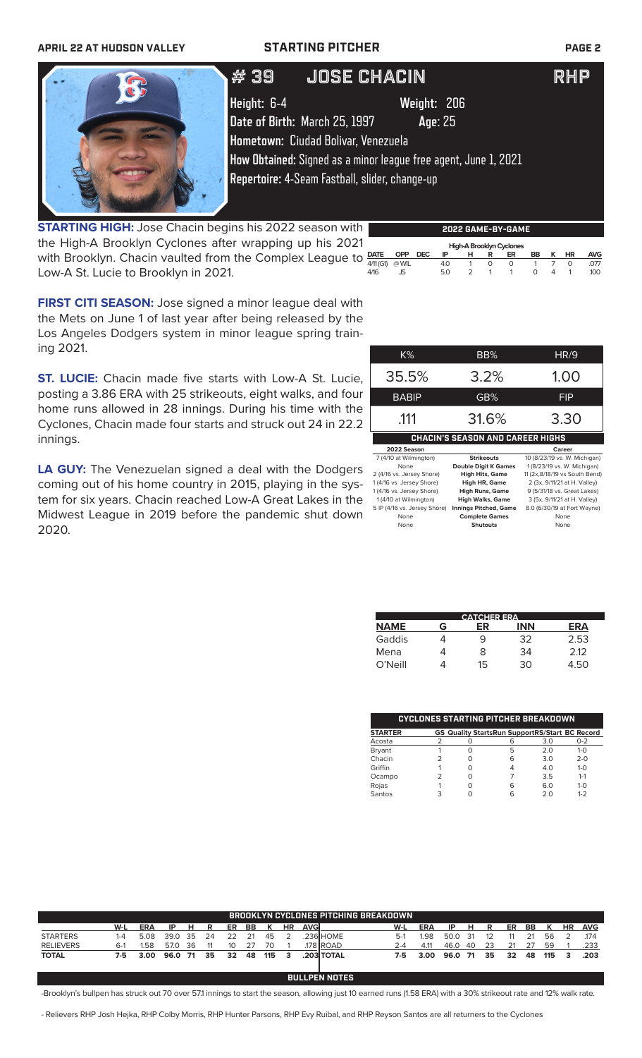## **APRIL 22 AT HUDSON VALLEY STARTING PITCHER PAGE 2**



 $\#$  39  $\blacksquare$  JOSE CHACIN  $\blacksquare$  RHP

# **Height:** 6-4 **Weight:** 206

**Date of Birth:** March 25, 1997 **Age**: 25

**Hometown:** Ciudad Bolivar, Venezuela

**How Obtained:** Signed as a minor league free agent, June 1, 2021

**Repertoire:** 4-Seam Fastball, slider, change-up

**STARTING HIGH:** Jose Chacin begins his 2022 season with the High-A Brooklyn Cyclones after wrapping up his 202 with Brooklyn. Chacin vaulted from the Complex League to Low-A St. Lucie to Brooklyn in 2021.

| th |                          |       |            |     |   |   | 2022 GAME-BY-GAME |           |   |    |            |
|----|--------------------------|-------|------------|-----|---|---|-------------------|-----------|---|----|------------|
|    | High-A Brooklyn Cyclones |       |            |     |   |   |                   |           |   |    |            |
| to | <b>DATE</b>              | OPP   | <b>DEC</b> | ΙP  | н | R | ER                | <b>BB</b> | к | HR | <b>AVG</b> |
|    | 4/11 (G1)                | @ WIL |            | 4.0 |   | O | $\left($          |           |   |    | .077       |
|    | 4/16                     | JS    |            | 50  |   |   |                   | ∩         |   |    | 100        |
|    |                          |       |            |     |   |   |                   |           |   |    |            |

**FIRST CITI SEASON:** Jose signed a minor league deal with the Mets on June 1 of last year after being released by the Los Angeles Dodgers system in minor league spring training 2021.

**ST. LUCIE:** Chacin made five starts with Low-A St. Lucie, posting a 3.86 ERA with 25 strikeouts, eight walks, and four home runs allowed in 28 innings. During his time with the Cyclones, Chacin made four starts and struck out 24 in 22.2 innings.

**LA GUY:** The Venezuelan signed a deal with the Dodgers coming out of his home country in 2015, playing in the system for six years. Chacin reached Low-A Great Lakes in the Midwest League in 2019 before the pandemic shut down 2020.

| $K\%$                     | BB%                                     | HR/9                          |
|---------------------------|-----------------------------------------|-------------------------------|
| 35.5%                     | 3.2%                                    | 1.00                          |
| <b>BABIP</b>              | GB%                                     | FIP                           |
| .111                      | 31.6%                                   | 3.30                          |
|                           | <b>CHACIN'S SEASON AND CAREER HIGHS</b> |                               |
| 2022 Season               |                                         | Career                        |
| 7 (4/10 at Wilmington)    | <b>Strikeouts</b>                       | 10 (8/23/19 vs. W. Michigan)  |
| None                      | <b>Double Digit K Games</b>             | 1 (8/23/19 vs. W. Michigan)   |
| 2 (4/16 vs. Jersey Shore) | <b>High Hits, Game</b>                  | 11 (2x.8/18/19 vs South Bend) |

| 2 (4/16 vs. Jersey Shore)    | <b>High Hits, Game</b>       | 11 (2x,8/18/19 vs South Bend) |
|------------------------------|------------------------------|-------------------------------|
| 1 (4/16 vs. Jersey Shore)    | High HR, Game                | 2 (3x, 9/11/21 at H. Valley)  |
| 1 (4/16 vs. Jersey Shore)    | <b>High Runs, Game</b>       | 9 (5/31/18 vs. Great Lakes)   |
| 1 (4/10 at Wilmington)       | <b>High Walks, Game</b>      | 3 (5x, 9/11/21 at H. Valley)  |
| 5 IP (4/16 vs. Jersey Shore) | <b>Innings Pitched, Game</b> | 8.0 (6/30/19 at Fort Wayne)   |
| None                         | <b>Complete Games</b>        | None                          |
| None                         | <b>Shutouts</b>              | None                          |
|                              |                              |                               |
|                              |                              |                               |

| <b>CATCHER ERA</b> |   |    |            |            |  |  |  |  |  |
|--------------------|---|----|------------|------------|--|--|--|--|--|
| <b>NAME</b>        | G | ER | <b>INN</b> | <b>ERA</b> |  |  |  |  |  |
| Gaddis             |   | 9  | 32         | 2.53       |  |  |  |  |  |
| Mena               |   | 8  | 34         | 212        |  |  |  |  |  |
| $O'$ Neill         |   | 15 | 30         | 4.50       |  |  |  |  |  |

|                |  | CYCLONES STARTING PITCHER BREAKDOWN                   |     |         |
|----------------|--|-------------------------------------------------------|-----|---------|
| <b>STARTER</b> |  | <b>GS Quality StartsRun SupportRS/Start BC Record</b> |     |         |
| Acosta         |  | 6                                                     | 3.0 | $0 - 2$ |
| <b>Bryant</b>  |  | 5                                                     | 20  | $1 - 0$ |
| Chacin         |  | 6                                                     | 3.0 | $2 - 0$ |
| Griffin        |  |                                                       | 4.0 | $1 - 0$ |
| Ocampo         |  |                                                       | 3.5 | $1 - 1$ |
| Rojas          |  | 6                                                     | 6.0 | $1 - 0$ |
| Santos         |  | G                                                     | 20  | $1 - 2$ |

| <b>BROOKLYN CYCLONES PITCHING BREAKDOWN</b> |       |            |         |     |    |      |     |     |           |             |                      |         |      |      |      |    |    |     |     |           |            |
|---------------------------------------------|-------|------------|---------|-----|----|------|-----|-----|-----------|-------------|----------------------|---------|------|------|------|----|----|-----|-----|-----------|------------|
|                                             | W-L   | <b>ERA</b> | IP      | н   | R  | ER   | BB  |     | <b>HR</b> | <b>AVGI</b> |                      | W-L     | ERA  | IP.  | н    | R  | ER | BB. | к   | <b>HR</b> | <b>AVG</b> |
| <b>STARTERS</b>                             | 1-4   | 5.08       | 39.0    | -35 | 24 | 22   | 21  | 45  |           |             | .236 HOME            | $5-1$   | 1.98 | 50.0 | 31   | 12 |    | 21  | 56  |           | .174       |
| <b>RELIEVERS</b>                            | $6-1$ | 1.58       | 57.0    | 36  |    | 10   | 27  | 70  |           |             | 178 ROAD.            | $2 - 4$ | 4.11 | 46.0 | 40   | 23 | 21 | 27  | 59  |           | .233       |
| <b>TOTAL</b>                                | 7-5   | 3.00       | 96.0 71 |     | 35 | - 32 | -48 | 115 | 3         |             | <b>203 TOTAL</b>     | 7-5     | 3.00 | 96.0 | - 71 | 35 | 32 | 48  | 115 | 3         | .203       |
|                                             |       |            |         |     |    |      |     |     |           |             |                      |         |      |      |      |    |    |     |     |           |            |
|                                             |       |            |         |     |    |      |     |     |           |             | <b>BULLPEN NOTES</b> |         |      |      |      |    |    |     |     |           |            |

-Brooklyn's bullpen has struck out 70 over 57.1 innings to start the season, allowing just 10 earned runs (1.58 ERA) with a 30% strikeout rate and 12% walk rate.

- Relievers RHP Josh Hejka, RHP Colby Morris, RHP Hunter Parsons, RHP Evy Ruibal, and RHP Reyson Santos are all returners to the Cyclones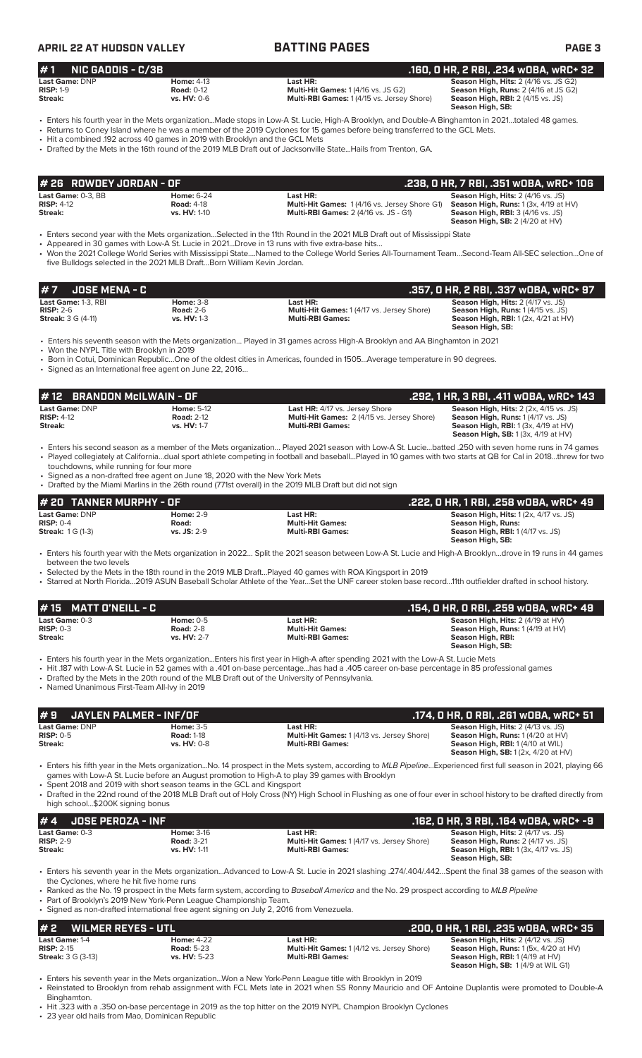### **APRIL 22 AT HUDSON VALLEY BATTING PAGES PAGE 3 # 7 JOSE MENA - C .357, 0 HR, 2 RBI, .337 wOBA, wRC+ 97 Last Game:** 1-3, RBI **Home:** 3-8 **Last HR: Season High, Hits:** 2 (4/17 vs. JS) **RISP:**  $2-6$  **Road:**  $2-6$  **Multi-Hit Games:** 1 (4/17 vs. Jersey Shore) **Streak:** 3 G (4-11) **vs. HV:** 1-3 **Multi-RBI Games:** 1 **Season High, Runs: 2 (4/17 vs. 33)**<br>**Season High, Runs: 1 (4/15 vs. 35)**<br>**Season High, RBI:** 1 (2x, 4/21 at HV) **Season High, SB:**  • Enters his seventh season with the Mets organization… Played in 31 games across High-A Brooklyn and AA Binghamton in 2021 • Won the NYPL Title with Brooklyn in 2019 • Born in Cotui, Dominican Republic…One of the oldest cities in Americas, founded in 1505…Average temperature in 90 degrees. • Signed as an International free agent on June 22, 2016… **Last Game: DNP Home: 2-9 Last HR: Last HR: Season High, Hits:** 1 (2x, 4/17 vs. JS)<br> **RISP:** 0-4 **Road: Righ, Runs: Righ, Runs: Righ, Runs: RISP:** 0-4 **Righ, Runs: Righ, Runs: Righ, Runs: Righ, Runs: RISP:** 0-4 **Road: Multi-Hit Games: Season High, Runs: Season High, RBI:** 1 (4/17 vs. JS) **Season High, SB:**  • Enters his fourth year with the Mets organization in 2022… Split the 2021 season between Low-A St. Lucie and High-A Brooklyn…drove in 19 runs in 44 games between the two levels • Selected by the Mets in the 18th round in the 2019 MLB Draft…Played 40 games with ROA Kingsport in 2019 • Starred at North Florida…2019 ASUN Baseball Scholar Athlete of the Year…Set the UNF career stolen base record…11th outfielder drafted in school history. **# 20 TANNER MURPHY - OF .222, 0 HR, 1 RBI, .258 wOBA, wRC+ 49 # 1 NIC GADDIS - C/3B .160, 0 HR, 2 RBI, .234 wOBA, wRC+ 32 Last Game:** DNP **Home:** 4-13 **Last HR: Season High, Hits:** 2 (4/16 vs. JS G2) **Season High, Hits:** 2 (4/16 vs. JS G2) **Season High, Hits:** 2 (4/16 vs. JS G2) **Season High, Rits:** 2 (4/16 vs. JS G2) **RISP:** 1-9 **Road:** 0-12 **Multi-Hit Games:** 1 (4/16 vs. JS G2) **Season High, Runs:** 2 (4/16 at JS G2) **Multi-RBI Games: 1 (4/15 vs. Jersey Shore) Season High, SB:**  • Enters his fourth year in the Mets organization...Made stops in Low-A St. Lucie, High-A Brooklyn, and Double-A Binghamton in 2021…totaled 48 games. • Returns to Coney Island where he was a member of the 2019 Cyclones for 15 games before being transferred to the GCL Mets. • Hit a combined .192 across 40 games in 2019 with Brooklyn and the GCL Mets • Drafted by the Mets in the 16th round of the 2019 MLB Draft out of Jacksonville State...Hails from Trenton, GA. **Last Game:** 0-3, BB **Home:** 6-24 **Last HR: Season High, Hits:** 2 (4/16 vs. JS) **RISP:** 4-12 **Road:** 4-18 **Multi-Hit Games:** 1 (4/16 vs. Jersey Shore G1) **Season High, Runs:** 1 (3x, 4/19 at HV) **Streak: vs. HV: 1-10 <b>Streak:** 12 **Road:** 4-18 **Road:** 4-18 **Multi-RBI Games:** 1 (4/16 vs. Jersey Streak: 1 (4/16 vs. JS) **Streak:** 12 **Season High, SB:** 2 (4/20 at HV) • Enters second year with the Mets organization…Selected in the 11th Round in the 2021 MLB Draft out of Mississippi State • Appeared in 30 games with Low-A St. Lucie in 2021…Drove in 13 runs with five extra-base hits… • Won the 2021 College World Series with Mississippi State….Named to the College World Series All-Tournament Team…Second-Team All-SEC selection…One of five Bulldogs selected in the 2021 MLB Draft…Born William Kevin Jordan. **# 26 ROWDEY JORDAN - OF .238, 0 HR, 7 RBI, .351 wOBA, wRC+ 106 Last Game:** DNP **Home:** 5-12 **Last HR:** 4/17 vs. Jersey Shore **Season High, Hits:** 2 (2x, 4/15 vs. JS) **RISP:** 4-12 **Road:** 2-12 **Multi-Hit Games:** 2 (4/15 vs. Jersey Shore) **Season High, Runs:** 1 (4/17 vs. JS) AND THE MULTI-LAND MULTI-LAND MULTI-LAND MULTI-LAND MULTI-LAND MULTI-RBI Games:<br>
vs. HV: 1-7 **Multi-RBI Games: Season High, RBI:** 1 (3x, 4/19 at HV)<br> **Season High, SB:** 1 (3x, 4/19 at HV) **Season High, SB:** 1 (3x, 4/19 at HV) • Enters his second season as a member of the Mets organization… Played 2021 season with Low-A St. Lucie…batted .250 with seven home runs in 74 games • Played collegiately at California…dual sport athlete competing in football and baseball…Played in 10 games with two starts at QB for Cal in 2018…threw for two touchdowns, while running for four more Signed as a non-drafted free agent on June 18, 2020 with the New York Mets • Drafted by the Miami Marlins in the 26th round (771st overall) in the 2019 MLB Draft but did not sign **# 12 BRANDON McILWAIN - OF .292, 1 HR, 3 RBI, .411 wOBA, wRC+ 143 Last Game:** 0-3 **Home:** 0-5 **Last HR: Season High, Hits:** 2 (4/19 at HV) **RISP:** 0-3 **Road:** 2-8 **Multi-Hit Games: Season High, Runs:** 1 (4/19 at HV) **Streak: vs. HV:** 2-7 **Multi-RBI Games: Season High, RBI: Season High, SB:**  • Enters his fourth year in the Mets organization...Enters his first year in High-A after spending 2021 with the Low-A St. Lucie Mets • Hit .187 with Low-A St. Lucie in 52 games with a .401 on-base percentage...has had a .405 career on-base percentage in 85 professional games • Drafted by the Mets in the 20th round of the MLB Draft out of the University of Pennsylvania. • Named Unanimous First-Team All-Ivy in 2019 **# 15 MATT O'NEILL - C .154, 0 HR, 0 RBI, .259 wOBA, wRC+ 49 # 9 JAYLEN PALMER - INF/OF .174, 0 HR, 0 RBI, .261 wOBA, wRC+ 51 Last Game: DNP Home: 3-5 Last HR: Season High, Hits:** 2 (4/13 vs. JS)<br> **RISP:** 0-5 **Risp:** 2 **Road:** 1-18 **Multi-Hit Games:** 1 (4/13 vs. Jersey Shore) **Season High, Runs:** 1 (4/20 at HV **RISP:** 0-5 **Road:** 1-18 **Multi-Hit Games:** 1 (4/13 vs. Jersey Shore) **Season High, Runs:** 1 (4/20 at HV) **Season High, Runs: 1 (4/20 at HV)**<br>**Season High, Runs: 1 (4/20 at HV)**<br>**Season High, RBI: 1 (4/10 at WIL) Season High, SB:** 1 (2x, 4/20 at HV) • Enters his fifth year in the Mets organization...No. 14 prospect in the Mets system, according to *MLB Pipeline*...Experienced first full season in 2021, playing 66 games with Low-A St. Lucie before an August promotion to High-A to play 39 games with Brooklyn • Spent 2018 and 2019 with short season teams in the GCL and Kingsport • Drafted in the 22nd round of the 2018 MLB Draft out of Holy Cross (NY) High School in Flushing as one of four ever in school history to be drafted directly from high school...\$200K signing bonus **# 4 JOSE PEROZA - INF .162, 0 HR, 3 RBI, .164 wOBA, wRC+ -9 Last Game:** 0-3 **Home:** 3-16 **Last HR: Season High, Hits:** 2 (4/17 vs. JS) **RISP:** 2-9 **Road:** 3-21 **Multi-Hit Games:** 1 (4/17 vs. Jersey Shore) **Season High, Runs:** 2 (4/17 vs. JS) **Streak: vs. HV:** 1-11 **Multi-RBI Games: Season High, RBI:** 1 (3x, 4/17 vs. JS) **Season High, SB:**  • Enters his seventh year in the Mets organization...Advanced to Low-A St. Lucie in 2021 slashing .274/.404/.442…Spent the final 38 games of the season with the Cyclones, where he hit five home runs • Ranked as the No. 19 prospect in the Mets farm system, according to *Baseball America* and the No. 29 prospect according to *MLB Pipeline* Part of Brooklyn's 2019 New York-Penn League Championship Team. • Signed as non-drafted international free agent signing on July 2, 2016 from Venezuela. **# 2 WILMER REYES - UTL .200, 0 HR, 1 RBI, .235 wOBA, wRC+ 35 Last Game:** 1-4 **Home:** 4-22 **Last HR: Season High, Hits:** 2 (4/12 vs. JS)<br>**RISP:** 2-15 **Righter and Alter Act Act Act Act Multi-Hit Games:** 1 (4/12 vs. Jersey Shore) **Season High, Runs:** 1 (5x, 4/20 at HV) **RISP:** 2-15 **Road:** 5-23 **Road: 5-23 Multi-Hit Games:** 1 (4/12 vs. Jersey Shore) **Streak:** 3 G (3-13) **Road: 5-23 Multi-RBI Games:** 1 (4/12 vs. Jersey Shore) **Season High, RBI:** 1 (4/19 at HV) **Season High, SB:** 1 (4/9 at WIL G1) • Enters his seventh year in the Mets organization...Won a New York-Penn League title with Brooklyn in 2019 • Reinstated to Brooklyn from rehab assignment with FCL Mets late in 2021 when SS Ronny Mauricio and OF Antoine Duplantis were promoted to Double-A

Binghamton.

• Hit .323 with a .350 on-base percentage in 2019 as the top hitter on the 2019 NYPL Champion Brooklyn Cyclones

23 year old hails from Mao, Dominican Republic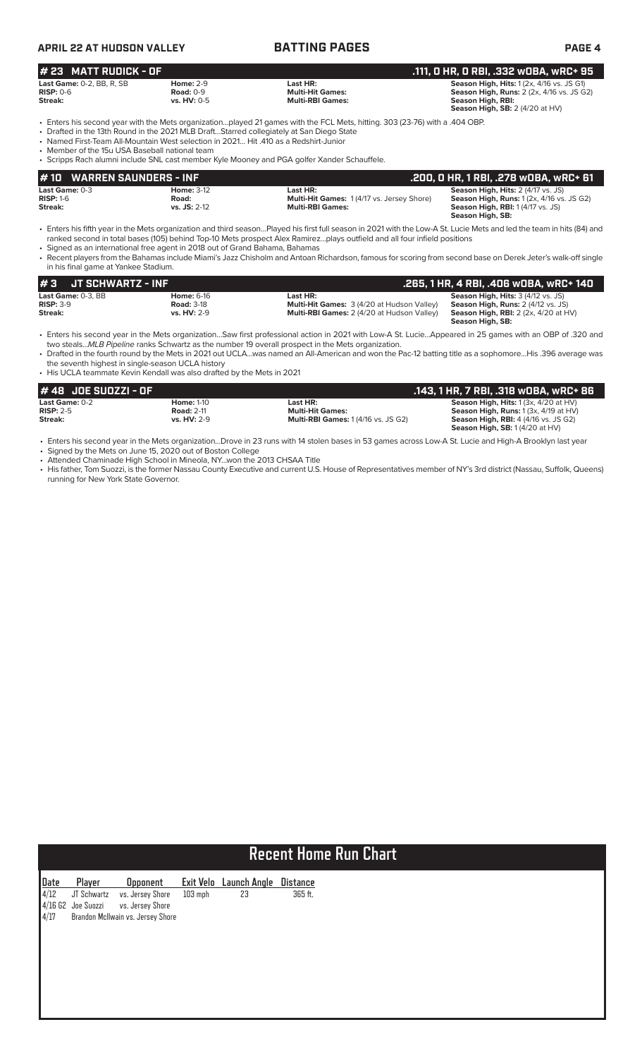# **APRIL 22 AT HUDSON VALLEY BATTING PAGES PAGE 4**

### **Last Game:** 0-2, BB, R, SB **Home:** 2-9 **Last HR: Season High, Hits:** 1 (2x, 4/16 vs. JS G1) **RISP:** 0-6 **Road:** 0-9 **Multi-Hit Games: Season High, Runs:** 2 (2x, 4/16 vs. JS G2) **Cast Game:** 0-2, BB, R, SB **Home:** 2-9 **Season High, Hits:** 1 (2x, 4/16 vs. **RISP:** 0-6 **Road:** 0-9 **Road:** 0-9 **Multi-Hit Games: Season High, Runs:** 2 (2x, 4/16 vs. **HV:** 0-5 **Multi-RBI Games: Season High, Runs:** 2 ( **Season High, SB:** 2 (4/20 at HV) • Enters his second year with the Mets organization…played 21 games with the FCL Mets, hitting. 303 (23-76) with a .404 OBP. • Drafted in the 13th Round in the 2021 MLB Draft…Starred collegiately at San Diego State • Named First-Team All-Mountain West selection in 2021… Hit .410 as a Redshirt-Junior • Member of the 15u USA Baseball national team **# 23 MATT RUDICK - OF .111, 0 HR, 0 RBI, .332 wOBA, wRC+ 95**

• Scripps Rach alumni include SNL cast member Kyle Mooney and PGA golfer Xander Schauffele.

| # 10 WARREN SAUNDERS - INF               |                                              |                                                                                         | .200, 0 HR, 1 RBI, .278 w0BA, wRC+ 61                                                                                                                         |  |  |  |  |
|------------------------------------------|----------------------------------------------|-----------------------------------------------------------------------------------------|---------------------------------------------------------------------------------------------------------------------------------------------------------------|--|--|--|--|
| Last Game: 0-3<br>$RISP: 1-6$<br>Streak: | <b>Home: 3-12</b><br>Road:<br>$vs.$ JS: 2-12 | Last HR:<br><b>Multi-Hit Games: 1(4/17 vs. Jersey Shore)</b><br><b>Multi-RBI Games:</b> | <b>Season High, Hits: 2 (4/17 vs. JS)</b><br><b>Season High, Runs: 1 (2x, 4/16 vs. JS G2)</b><br><b>Season High, RBI:</b> 1 (4/17 vs. JS)<br>Season High, SB: |  |  |  |  |

• Enters his fifth year in the Mets organization and third season…Played his first full season in 2021 with the Low-A St. Lucie Mets and led the team in hits (84) and ranked second in total bases (105) behind Top-10 Mets prospect Alex Ramirez…plays outfield and all four infield positions

• Signed as an international free agent in 2018 out of Grand Bahama, Bahamas

• Recent players from the Bahamas include Miami's Jazz Chisholm and Antoan Richardson, famous for scoring from second base on Derek Jeter's walk-off single in his final game at Yankee Stadium.

| I#3<br>JT SCHWARTZ - INF                 |                                        |                                                               | .265, 1 HR, 4 RBI, .406 wOBA, wRC+ 140                                                 |
|------------------------------------------|----------------------------------------|---------------------------------------------------------------|----------------------------------------------------------------------------------------|
| <b>Last Game: 0-3. BB</b><br>$RISP: 3-9$ | <b>Home:</b> 6-16<br><b>Road: 3-18</b> | Last HR:<br><b>Multi-Hit Games:</b> 3 (4/20 at Hudson Valley) | <b>Season High, Hits: 3 (4/12 vs. JS)</b><br><b>Season High, Runs:</b> 2 (4/12 vs. JS) |
| Streak:                                  | <b>vs. HV: 2-9</b>                     | <b>Multi-RBI Games: 2 (4/20 at Hudson Valley)</b>             | <b>Season High, RBI:</b> $2$ ( $2x$ , $4/20$ at $HV$ )<br>Season High, SB:             |

• Enters his second year in the Mets organization…Saw first professional action in 2021 with Low-A St. Lucie…Appeared in 25 games with an OBP of .320 and two steals...*MLB Pipeline* ranks Schwartz as the number 19 overall prospect in the Mets organization.

• Drafted in the fourth round by the Mets in 2021 out UCLA…was named an All-American and won the Pac-12 batting title as a sophomore…His .396 average was the seventh highest in single-season UCLA history

• His UCLA teammate Kevin Kendall was also drafted by the Mets in 2021

| # 48 JOE SUOZZI - OF  |                   |                                            | . 143, 1 HR, 7 RBI, .318 wOBA, wRC+ 86.          |
|-----------------------|-------------------|--------------------------------------------|--------------------------------------------------|
| <b>Last Game:</b> 0-2 | <b>Home: 1-10</b> | Last HR:                                   | <b>Season High, Hits:</b> $1(3x, 4/20$ at $HV$ ) |
| $RISP: 2-5$           | <b>Road: 2-11</b> | <b>Multi-Hit Games:</b>                    | <b>Season High, Runs:</b> $1(3x, 4/19$ at $HV$ ) |
| Streak:               | vs. HV: 2-9       | <b>Multi-RBI Games: 1 (4/16 vs. JS G2)</b> | <b>Season High, RBI:</b> 4 (4/16 vs. JS G2)      |
|                       |                   |                                            | <b>Season High, SB:</b> $1(4/20$ at $HV$         |

• Enters his second year in the Mets organization...Drove in 23 runs with 14 stolen bases in 53 games across Low-A St. Lucie and High-A Brooklyn last year

• Signed by the Mets on June 15, 2020 out of Boston College • Attended Chaminade High School in Mineola, NY...won the 2013 CHSAA Title

• His father, Tom Suozzi, is the former Nassau County Executive and current U.S. House of Representatives member of NY's 3rd district (Nassau, Suffolk, Queens) running for New York State Governor.

# **Recent Home Run Chart**

|  | Date Player Opponent Exit Velo Launch Angle Distance<br>4/12 JT Schwartz vs. Jersey Shore 103 mph 23 365 ft.<br>4/16 G2 Joe Suozzi vs. Jersey Shore<br>4/17 Brandon McIlwain vs. Jersey Shore |  |  |
|--|-----------------------------------------------------------------------------------------------------------------------------------------------------------------------------------------------|--|--|
|  |                                                                                                                                                                                               |  |  |
|  |                                                                                                                                                                                               |  |  |
|  |                                                                                                                                                                                               |  |  |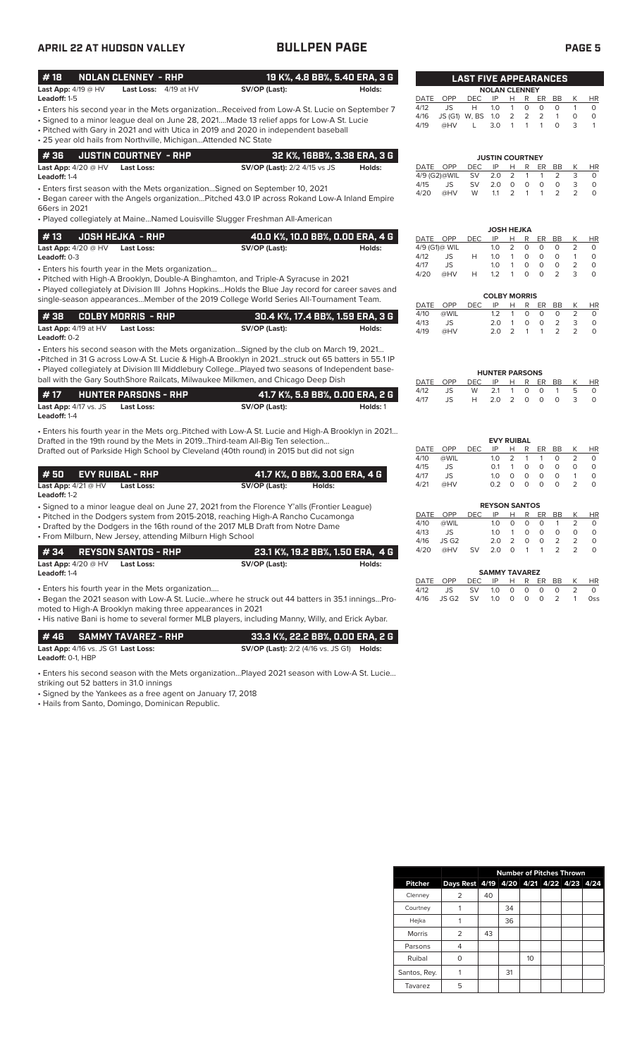| <b>APRIL 22 AT HUDSON VALLEY</b>                                |                                                                                                                 | <b>BULLPEN PAGE</b>                                                                                                                                                                                                                                                                                                                                                                   |                                             |                                      |                                |                         |                                |                                                                                                                                         |                                                            |                                                 | <b>PAGE 5</b>                  |                                                     |
|-----------------------------------------------------------------|-----------------------------------------------------------------------------------------------------------------|---------------------------------------------------------------------------------------------------------------------------------------------------------------------------------------------------------------------------------------------------------------------------------------------------------------------------------------------------------------------------------------|---------------------------------------------|--------------------------------------|--------------------------------|-------------------------|--------------------------------|-----------------------------------------------------------------------------------------------------------------------------------------|------------------------------------------------------------|-------------------------------------------------|--------------------------------|-----------------------------------------------------|
| #18                                                             | <b>NOLAN CLENNEY - RHP</b>                                                                                      |                                                                                                                                                                                                                                                                                                                                                                                       | 19 K%, 4.8 BB%, 5.40 ERA, 3 G               |                                      |                                |                         |                                | <b>LAST FIVE APPEARANCES</b>                                                                                                            |                                                            |                                                 |                                |                                                     |
| Last App: 4/19 @ HV<br>Leadoff: 1-5                             | Last Loss: 4/19 at HV                                                                                           | SV/OP (Last):                                                                                                                                                                                                                                                                                                                                                                         | Holds:                                      | DATE                                 | <b>OPP</b>                     | <b>DEC</b>              | IP                             | <b>NOLAN CLENNEY</b><br>н<br>R                                                                                                          | ER                                                         | BB                                              | Κ                              | <b>HR</b>                                           |
|                                                                 | • 25 year old hails from Northville, MichiganAttended NC State                                                  | • Enters his second year in the Mets organizationReceived from Low-A St. Lucie on September 7<br>• Signed to a minor league deal on June 28, 2021Made 13 relief apps for Low-A St. Lucie<br>• Pitched with Gary in 2021 and with Utica in 2019 and 2020 in independent baseball                                                                                                       |                                             | 4/12<br>4/16<br>4/19                 | JS<br>JS (G1) W, BS<br>@HV     | H                       | 1.0<br>1.0<br>3.0              | 0<br>$\mathbf{1}$<br>$\overline{2}$<br>2<br>$\mathbf{1}$<br>$\mathbf{1}$                                                                | $\circ$<br>2<br>$\mathbf{1}$                               | $\circ$<br>$\mathbf{1}$<br>$\Omega$             | $\mathbf{1}$<br>0<br>3         | $\circ$<br>$\mathsf O$<br>$\mathbf{1}$              |
| #36                                                             | <b>JUSTIN COURTNEY - RHP</b>                                                                                    |                                                                                                                                                                                                                                                                                                                                                                                       | 32 K%, 16BB%, 3.38 ERA, 3 G                 |                                      |                                |                         |                                | <b>JUSTIN COURTNEY</b>                                                                                                                  |                                                            |                                                 |                                |                                                     |
| Last App: $4/20 \ @HV$<br>Leadoff: 1-4                          | <b>Last Loss:</b>                                                                                               | <b>SV/OP (Last):</b> 2/2 4/15 vs JS                                                                                                                                                                                                                                                                                                                                                   | Holds:                                      | DATE OPP<br>4/9 (G2)@WIL             |                                | <b>DEC</b><br><b>SV</b> | IP<br>2.0                      | R<br>н<br>2<br>1                                                                                                                        | ER<br>$\mathbf{1}$                                         | BB<br>2                                         | К<br>3                         | HR<br>$\circ$                                       |
| 66ers in 2021                                                   |                                                                                                                 | • Enters first season with the Mets organization Signed on September 10, 2021<br>. Began career with the Angels organizationPitched 43.0 IP across Rokand Low-A Inland Empire                                                                                                                                                                                                         |                                             | 4/15<br>4/20                         | JS<br>@HV                      | <b>SV</b><br>W          | 2.0<br>1.1                     | $\circ$<br>$\circ$<br>2<br>1                                                                                                            | $\circ$<br>1                                               | $\mathsf O$<br>2                                | 3<br>$\overline{2}$            | $\circ$<br>$\Omega$                                 |
|                                                                 |                                                                                                                 | • Played collegiately at MaineNamed Louisville Slugger Freshman All-American                                                                                                                                                                                                                                                                                                          |                                             |                                      |                                |                         |                                | <b>JOSH HEJKA</b>                                                                                                                       |                                                            |                                                 |                                |                                                     |
| #13<br>Last App: $4/20 @HV$                                     | <b>JOSH HEJKA - RHP</b><br><b>Last Loss:</b>                                                                    | SV/OP (Last):                                                                                                                                                                                                                                                                                                                                                                         | 40.0 K%, 10.0 BB%, 0.00 ERA, 4 G<br>Holds:  | DATE OPP<br>4/9 (G1)@ WIL            |                                | <b>DEC</b>              | IP<br>1.0                      | R<br>н<br>2<br>$\circ$                                                                                                                  | ER<br>$\circ$                                              | BB<br>$\Omega$                                  | K<br>2                         | <b>HR</b><br>$\circ$                                |
| Leadoff: 0-3                                                    |                                                                                                                 |                                                                                                                                                                                                                                                                                                                                                                                       |                                             | 4/12<br>4/17                         | JS<br>JS                       | Н                       | 1.0<br>1.0                     | $\circ$<br>$\mathbf{1}$<br>$\mathbf{1}$<br>$\circ$                                                                                      | $\Omega$<br>$\circ$                                        | $\Omega$<br>$\circ$                             | $\mathbf{1}$<br>$\overline{2}$ | $\Omega$<br>$\mathsf O$                             |
|                                                                 | • Enters his fourth year in the Mets organization                                                               | · Pitched with High-A Brooklyn, Double-A Binghamton, and Triple-A Syracuse in 2021<br>• Played collegiately at Division III Johns Hopkins Holds the Blue Jay record for career saves and                                                                                                                                                                                              |                                             | 4/20                                 | @HV                            | Н                       | 1.2                            | $\circ$<br>$\mathbf{1}$                                                                                                                 | $\Omega$                                                   | $\overline{2}$                                  | 3                              | $\circ$                                             |
|                                                                 |                                                                                                                 | single-season appearancesMember of the 2019 College World Series All-Tournament Team.                                                                                                                                                                                                                                                                                                 |                                             | DATE                                 | <b>OPP</b>                     | DEC.                    | IP                             | <b>COLBY MORRIS</b><br>Н<br>R                                                                                                           | ER                                                         | BB                                              | К                              | HR                                                  |
| #38<br>Last App: 4/19 at HV<br>Leadoff: 0-2                     | <b>COLBY MORRIS - RHP</b><br><b>Last Loss:</b>                                                                  | SV/OP (Last):                                                                                                                                                                                                                                                                                                                                                                         | 30.4 K%, 17.4 BB%, 1.59 ERA, 3 G<br>Holds:  | 4/10<br>4/13<br>4/19                 | @WIL<br>JS<br>@HV              |                         | 1.2<br>2.0<br>2.0              | 0<br>$\mathbf{1}$<br>$\mathsf O$<br>$\mathbf{1}$<br>$\overline{2}$<br>$\mathbf{1}$                                                      | $\circ$<br>$\circ$<br>$\mathbf{1}$                         | $\circ$<br>$\overline{2}$<br>$\overline{2}$     | 2<br>3<br>$\overline{2}$       | $\circ$<br>$\mathsf O$<br>$\circ$                   |
|                                                                 |                                                                                                                 | • Enters his second season with the Mets organizationSigned by the club on March 19, 2021<br>-Pitched in 31 G across Low-A St. Lucie & High-A Brooklyn in 2021struck out 65 batters in 55.1 IP<br>. Played collegiately at Division III Middlebury CollegePlayed two seasons of Independent base-<br>ball with the Gary SouthShore Railcats, Milwaukee Milkmen, and Chicago Deep Dish |                                             | DATE                                 | OPP                            | <b>DEC</b>              | IP                             | <b>HUNTER PARSONS</b><br>R<br>H                                                                                                         | ER                                                         | BB                                              | К                              | HR                                                  |
| #17<br>Last App: 4/17 vs. JS<br>Leadoff: 1-4                    | <b>HUNTER PARSONS - RHP</b><br><b>Last Loss:</b>                                                                | SV/OP (Last):                                                                                                                                                                                                                                                                                                                                                                         | 41.7 K%, 5.9 BB%, 0.00 ERA, 2 G<br>Holds: 1 | 4/12<br>4/17                         | JS<br><b>JS</b>                | W<br>H                  | 2.1<br>2.0                     | 1<br>0<br>2<br>$\circ$                                                                                                                  | 0<br>$\circ$                                               | $\mathbf{1}$<br>$\circ$                         | 5<br>3                         | $\circ$<br>$\circ$                                  |
| # 50<br><b>Last App:</b> $4/21 @ HV$                            | <b>EVY RUIBAL - RHP</b><br>Last Loss:                                                                           | . Enters his fourth year in the Mets org. Pitched with Low-A St. Lucie and High-A Brooklyn in 2021<br>Drafted in the 19th round by the Mets in 2019Third-team All-Big Ten selection<br>Drafted out of Parkside High School by Cleveland (40th round) in 2015 but did not sign<br>41.7 K%, O BB%, 3.00 ERA, 4 G<br>SV/OP (Last):                                                       | Holds:                                      | DATE<br>4/10<br>4/15<br>4/17<br>4/21 | OPP<br>@WIL<br>JS<br>JS<br>@HV | DEC.                    | IP<br>1.0<br>0.1<br>1.0<br>0.2 | <b>EVY RUIBAL</b><br>R<br>н<br>$\overline{2}$<br>1<br>$\circ$<br>$\mathbf{1}$<br>$\circ$<br>$\circ$<br>$\overline{0}$<br>$\overline{0}$ | ER<br>$\mathbf{1}$<br>$\circ$<br>$\circ$<br>$\overline{O}$ | BB<br>$\Omega$<br>$\circ$<br>$\circ$<br>$\circ$ | K<br>2<br>$\circ$<br>1<br>2    | <b>HR</b><br>$\circ$<br>$\circ$<br>$\mathbf 0$<br>0 |
| Leadoff: 1-2                                                    |                                                                                                                 |                                                                                                                                                                                                                                                                                                                                                                                       |                                             |                                      |                                |                         |                                | <b>REYSON SANTOS</b>                                                                                                                    |                                                            |                                                 |                                |                                                     |
|                                                                 |                                                                                                                 | • Signed to a minor league deal on June 27, 2021 from the Florence Y'alls (Frontier League)<br>• Pitched in the Dodgers system from 2015-2018, reaching High-A Rancho Cucamonga                                                                                                                                                                                                       |                                             | DATE                                 | OPP                            | <b>DEC</b>              | IP                             | H<br>R                                                                                                                                  | ER                                                         | BB                                              | Κ<br>2                         | HR<br>$\circ$                                       |
|                                                                 | • From Milburn, New Jersey, attending Milburn High School                                                       | • Drafted by the Dodgers in the 16th round of the 2017 MLB Draft from Notre Dame                                                                                                                                                                                                                                                                                                      |                                             | 4/10<br>4/13                         | @WIL<br>JS                     |                         | 1.0<br>1.0                     | 0<br>0<br>$\mathbf{1}$<br>0                                                                                                             | 0<br>0                                                     | $\mathbf{1}$<br>0                               | 0                              | $\mathsf O$                                         |
| # 34<br>Last App: $4/20$ @ HV                                   | <b>REYSON SANTOS - RHP</b><br><b>Last Loss:</b>                                                                 | SV/OP (Last):                                                                                                                                                                                                                                                                                                                                                                         | 23.1 K%, 19.2 BB%, 1.50 ERA, 4 G<br>Holds:  | 4/16<br>4/20                         | JS G2<br>@HV                   | SV                      | 2.0<br>2.0                     | 2<br>$\circ$<br>0<br>$\mathbf{1}$                                                                                                       | $\mathsf{O}\xspace$<br>$\mathbf{1}$                        | 2<br>2                                          | 2<br>2                         | $\circ$<br>$\circ$                                  |
| Leadoff: 1-4                                                    |                                                                                                                 |                                                                                                                                                                                                                                                                                                                                                                                       |                                             | DATE                                 | OPP                            | DEC                     | IP                             | <b>SAMMY TAVAREZ</b><br>R<br>H                                                                                                          | ER                                                         | BB                                              | Κ                              | HR                                                  |
|                                                                 | • Enters his fourth year in the Mets organization<br>moted to High-A Brooklyn making three appearances in 2021  | - Began the 2021 season with Low-A St. Luciewhere he struck out 44 batters in 35.1 inningsPro-<br>• His native Bani is home to several former MLB players, including Manny, Willy, and Erick Aybar.                                                                                                                                                                                   |                                             | 4/12<br>4/16                         | JS<br>JS G2                    | SV<br><b>SV</b>         | 1.0<br>1.0                     | 0<br>0<br>$\circ$<br>$\mathsf O$                                                                                                        | $\circ$<br>$\circ$                                         | 0<br>2                                          | $\overline{2}$<br>$\mathbf{1}$ | $\circ$<br><b>Oss</b>                               |
| #46<br>Last App: 4/16 vs. JS G1 Last Loss:<br>Leadoff: 0-1, HBP | <b>SAMMY TAVAREZ - RHP</b>                                                                                      | <b>SV/OP (Last):</b> 2/2 (4/16 vs. JS G1) <b>Holds:</b>                                                                                                                                                                                                                                                                                                                               | 33.3 K%, 22.2 BB%, 0.00 ERA, 2 G            |                                      |                                |                         |                                |                                                                                                                                         |                                                            |                                                 |                                |                                                     |
| striking out 52 batters in 31.0 innings                         | • Signed by the Yankees as a free agent on January 17, 2018<br>• Hails from Santo, Domingo, Dominican Republic. | . Enters his second season with the Mets organizationPlayed 2021 season with Low-A St. Lucie                                                                                                                                                                                                                                                                                          |                                             |                                      |                                |                         |                                |                                                                                                                                         |                                                            |                                                 |                                |                                                     |

|                |                |    | <b>Number of Pitches Thrown</b> |    |                          |  |
|----------------|----------------|----|---------------------------------|----|--------------------------|--|
| <b>Pitcher</b> | Days Rest 4/19 |    |                                 |    | 4/20 4/21 4/22 4/23 4/24 |  |
| Clenney        | 2              | 40 |                                 |    |                          |  |
| Courtney       |                |    | 34                              |    |                          |  |
| Hejka          |                |    | 36                              |    |                          |  |
| Morris         | $\overline{2}$ | 43 |                                 |    |                          |  |
| Parsons        | 4              |    |                                 |    |                          |  |
| Ruibal         |                |    |                                 | 10 |                          |  |
| Santos, Rey.   |                |    | 31                              |    |                          |  |
| Tavarez        | 5              |    |                                 |    |                          |  |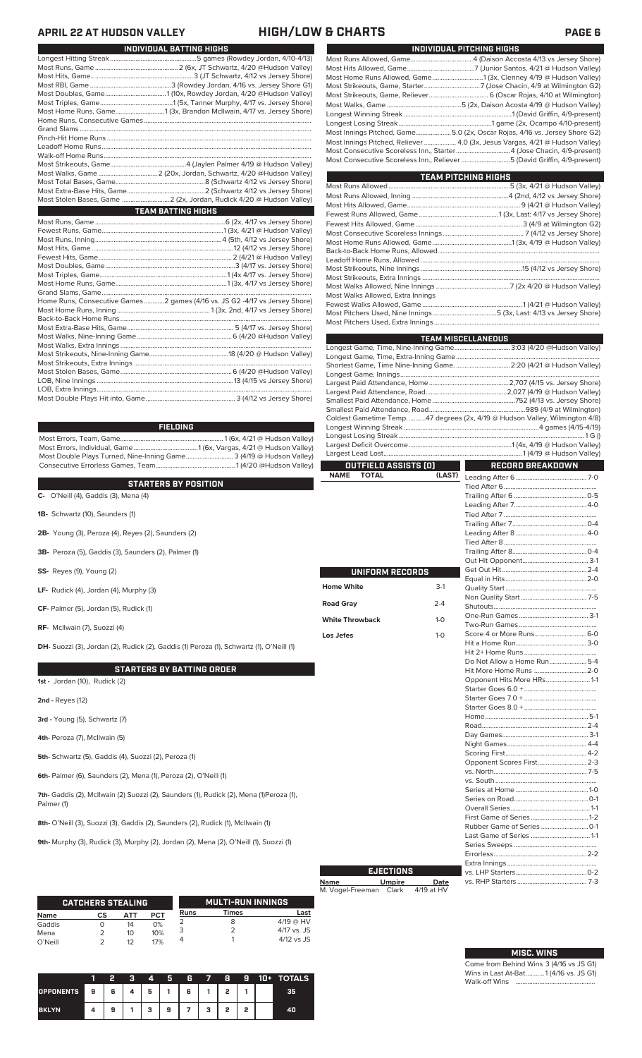### **APRIL 22 AT HUDSON VALLEY HIGH/LOW & CHARTS PAGE 6**

| Most Home Runs, Game1 (3x, Brandon McIlwain, 4/17 vs. Jersey Shore)         |
|-----------------------------------------------------------------------------|
|                                                                             |
|                                                                             |
|                                                                             |
|                                                                             |
|                                                                             |
|                                                                             |
|                                                                             |
|                                                                             |
|                                                                             |
| Most Stolen Bases, Game  2 (2x, Jordan, Rudick 4/20 @ Hudson Valley)        |
| <b>TEAM BATTING HIGHS</b>                                                   |
|                                                                             |
|                                                                             |
|                                                                             |
|                                                                             |
|                                                                             |
|                                                                             |
|                                                                             |
|                                                                             |
|                                                                             |
| Home Runs, Consecutive Games 2 games (4/16 vs. JS G2 -4/17 vs Jersey Shore) |
|                                                                             |
|                                                                             |
|                                                                             |
|                                                                             |
|                                                                             |
|                                                                             |
|                                                                             |
|                                                                             |
|                                                                             |
|                                                                             |
|                                                                             |

**INDIVIDUAL BATTING HIGHS**

Most Errors, Team, Game............................................................. 1 (6x, 4/21 @ Hudson Valley) Most Errors, Individual, Game......................................1 (6x, Vargas, 4/21 @ Hudson Valley) Most Double Plays Turned, Nine-Inning Game............................ 3 (4/19 @ Hudson Valley) Consecutive Errorless Games, Team...............................................1 (4/20 @Hudson Valley) **FIELDING**

### **STARTERS BY POSITION**

**C-** O'Neill (4), Gaddis (3), Mena (4)

**1B-** Schwartz (10), Saunders (1)

**2B-** Young (3), Peroza (4), Reyes (2), Saunders (2)

**3B-** Peroza (5), Gaddis (3), Saunders (2), Palmer (1)

**SS-** Reyes (9), Young (2)

**LF-** Rudick (4), Jordan (4), Murphy (3)

**CF-** Palmer (5), Jordan (5), Rudick (1)

**RF-** McIlwain (7), Suozzi (4)

**DH-** Suozzi (3), Jordan (2), Rudick (2), Gaddis (1) Peroza (1), Schwartz (1), O'Neill (1)

### **STARTERS BY BATTING ORDER**

**1st -** Jordan (10), Rudick (2)

**2nd -** Reyes (12)

**3rd -** Young (5), Schwartz (7)

**4th-** Peroza (7), McIlwain (5)

**5th-** Schwartz (5), Gaddis (4), Suozzi (2), Peroza (1)

**6th-** Palmer (6), Saunders (2), Mena (1), Peroza (2), O'Neill (1)

7th- Gaddis (2), McIlwain (2) Suozzi (2), Saunders (1), Rudick (2), Mena (1)Peroza (1), Palmer (1)

**8th-** O'Neill (3), Suozzi (3), Gaddis (2), Saunders (2), Rudick (1), McIlwain (1)

**9th-** Murphy (3), Rudick (3), Murphy (2), Jordan (2), Mena (2), O'Neill (1), Suozzi (1)

|                 | <b>CATCHERS STEALING</b> |          |            |      | <b>MULTI-RUN INNINGS</b> |                            |
|-----------------|--------------------------|----------|------------|------|--------------------------|----------------------------|
| <b>Name</b>     | cs                       | АТТ      | <b>PCT</b> | Runs | Times                    | Last                       |
| Gaddis          |                          | 14       | 0%         |      | 8                        | $4/19$ @ HV<br>4/17 vs. JS |
| Mena<br>O'Neill |                          | 10<br>12 | 10%<br>17% |      |                          | $4/12$ vs JS               |

|                  |   |   | 4 | 5 | R | - 7 | 8 | o | $10+$ | <b>TOTALS</b> |
|------------------|---|---|---|---|---|-----|---|---|-------|---------------|
| <b>OPPONENTS</b> | 9 | 6 | 5 |   | 6 |     | , |   |       | 35            |
| <b>BKLYN</b>     |   | 9 | з | 9 |   | з   | o | o |       | 40            |

| INDIVIDUAL PITCHING HIGHS                                                    |
|------------------------------------------------------------------------------|
|                                                                              |
|                                                                              |
| Most Home Runs Allowed, Game1 (3x, Clenney 4/19 @ Hudson Valley)             |
|                                                                              |
|                                                                              |
|                                                                              |
|                                                                              |
|                                                                              |
| Most Innings Pitched, Game5.0 (2x, Oscar Rojas, 4/16 vs. Jersey Shore G2)    |
| Most Innings Pitched, Reliever  4.0 (3x, Jesus Vargas, 4/21 @ Hudson Valley) |
| Most Consecutive Scoreless Inn., Starter4 (Jose Chacin, 4/9-present)         |
| Most Consecutive Scoreless Inn., Reliever 5 (David Griffin, 4/9-present)     |
|                                                                              |

| TEAM PITCHING HIGHS               |  |
|-----------------------------------|--|
|                                   |  |
|                                   |  |
|                                   |  |
|                                   |  |
|                                   |  |
|                                   |  |
|                                   |  |
|                                   |  |
|                                   |  |
|                                   |  |
|                                   |  |
|                                   |  |
| Most Walks Allowed, Extra Innings |  |
|                                   |  |
|                                   |  |
|                                   |  |

|                                       | <b>TEAM MISCELLANEOUS</b>                                                    |
|---------------------------------------|------------------------------------------------------------------------------|
|                                       | Longest Game, Time, Nine-Inning Game 3:03 (4/20 @Hudson Valley)              |
|                                       |                                                                              |
|                                       | Shortest Game, Time Nine-Inning Game.  2:20 (4/21 @ Hudson Valley)           |
|                                       |                                                                              |
|                                       |                                                                              |
|                                       |                                                                              |
|                                       |                                                                              |
|                                       |                                                                              |
|                                       | Coldest Gametime Temp. 47 degrees (2x, 4/19 @ Hudson Valley, Wilmington 4/8) |
|                                       |                                                                              |
|                                       |                                                                              |
|                                       |                                                                              |
|                                       |                                                                              |
| OUTFIELD ASSISTS (0)                  | <b>RECORD BREAKDOWN</b>                                                      |
|                                       |                                                                              |
| <b>TOTAL</b><br>(LAST)<br><b>NAME</b> |                                                                              |
|                                       |                                                                              |
|                                       |                                                                              |
|                                       |                                                                              |
|                                       |                                                                              |
|                                       |                                                                              |
|                                       |                                                                              |
|                                       |                                                                              |
|                                       |                                                                              |
|                                       |                                                                              |
|                                       |                                                                              |
| <b>UNIFORM RECORDS</b>                |                                                                              |
| <b>Home White</b><br>$3-1$            |                                                                              |
| า 1<br><b>Dood Crow</b>               |                                                                              |

| Home White             | $3-1$        |
|------------------------|--------------|
| <b>Road Gray</b>       | $2 - 4$      |
| <b>White Throwback</b> | $1 - 0$      |
| Los Jefes              | $1 - \Omega$ |
|                        |              |

| Do Not Allow a Home Run5-4 |  |
|----------------------------|--|
| Hit More Home Runs  2-0    |  |
| Opponent Hits More HRs 1-1 |  |
|                            |  |
|                            |  |
|                            |  |
|                            |  |
|                            |  |
|                            |  |
|                            |  |
|                            |  |
| Opponent Scores First 2-3  |  |
|                            |  |
|                            |  |
|                            |  |
|                            |  |
|                            |  |
|                            |  |
|                            |  |
|                            |  |
|                            |  |
|                            |  |
|                            |  |
|                            |  |
|                            |  |

| <b>EJECTIONS</b> |               |            |  |  |  |
|------------------|---------------|------------|--|--|--|
| <b>Name</b>      | <b>Umpire</b> | Date       |  |  |  |
| M. Vogel-Freeman | Clark         | 4/19 at HV |  |  |  |

| <b>MISC. WINS</b> |  |
|-------------------|--|

Come from Behind Wins 3 (4/16 vs JS G1) Wins in Last At-Bat...........1 (4/16 vs. JS G1) Walk-off Wins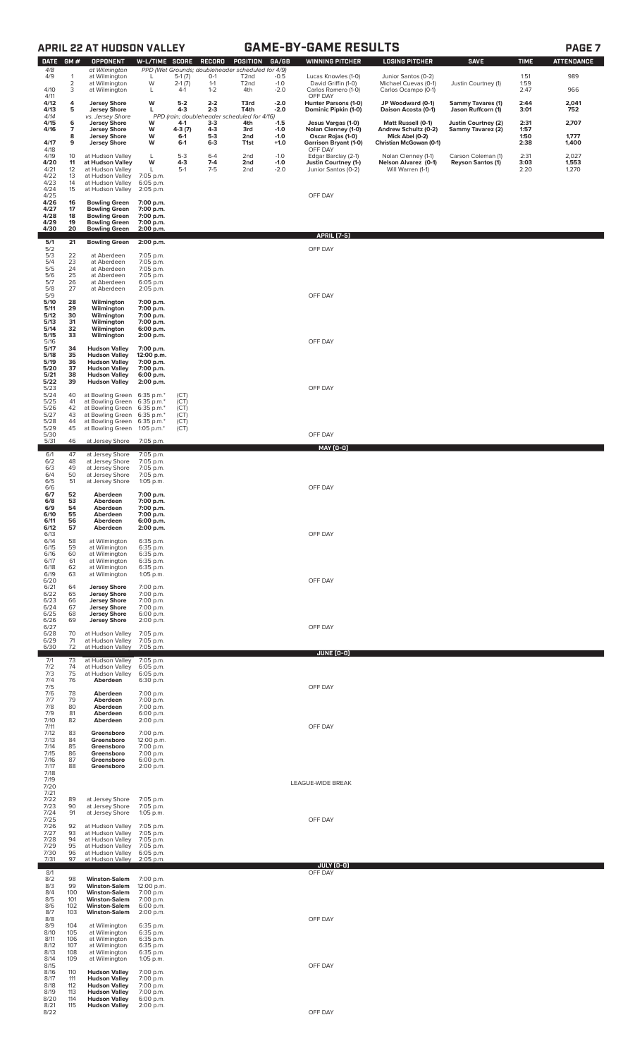# **APRIL 22 AT HUDSON VALLEY GAME-BY-GAME RESULTS PAGE 7**

| π |  |
|---|--|
|---|--|

| <b>DATE</b>          | GM#                 | <b>OPPONENT</b>                                            | W-L/TIME SCORE           |                      | <b>RECORD</b>      | <b>POSITION</b>                                   | GA/GB            | <b>WINNING PITCHER</b>                            | <b>LOSING PITCHER</b>                       | <b>SAVE</b>                                    | <b>TIME</b>  | <b>ATTENDANCE</b> |
|----------------------|---------------------|------------------------------------------------------------|--------------------------|----------------------|--------------------|---------------------------------------------------|------------------|---------------------------------------------------|---------------------------------------------|------------------------------------------------|--------------|-------------------|
| 4/8                  |                     | at Wilmington                                              |                          |                      |                    | PPD (Wet Grounds; doubleheader scheduled for 4/9) |                  |                                                   |                                             |                                                |              |                   |
| 4/9                  | 1<br>$\overline{2}$ | at Wilmington<br>at Wilmington                             | L<br>W                   | $5-1(7)$<br>$2-1(7)$ | $0 - 1$<br>$1 - 1$ | T <sub>2</sub> nd<br>T <sub>2</sub> nd            | $-0.5$<br>$-1.0$ | Lucas Knowles (1-0)<br>David Griffin (1-0)        | Junior Santos (0-2)<br>Michael Cuevas (0-1) | Justin Courtney (1)                            | 1:51<br>1:59 | 989               |
| 4/10<br>4/11         | 3                   | at Wilmington                                              | L                        | $4-1$                | $1 - 2$            | 4th                                               | $-2.0$           | Carlos Romero (1-0)<br>OFF DAY                    | Carlos Ocampo (0-1)                         |                                                | 2:47         | 966               |
| 4/12<br>4/13         | 4<br>5              | <b>Jersey Shore</b><br><b>Jersey Shore</b>                 | W<br>г                   | $5 - 2$<br>$4 - 3$   | $2 - 2$<br>$2 - 3$ | T3rd<br>T4th                                      | $-2.0$<br>$-2.0$ | Hunter Parsons (1-0)<br>Dominic Pipkin (1-0)      | JP Woodward (0-1)<br>Daison Acosta (0-1)    | <b>Sammy Tavares (1)</b><br>Jason Ruffcorn (1) | 2:44<br>3:01 | 2,041<br>752      |
| 4/14                 |                     | vs. Jersey Shore                                           |                          |                      |                    | PPD (rain; doubleheader scheduled for 4/16)       |                  |                                                   |                                             |                                                |              |                   |
| 4/15<br>4/16         | 6<br>7              | <b>Jersey Shore</b><br><b>Jersey Shore</b>                 | w<br>W                   | 4-1<br>4-3 (7)       | $3-3$<br>$4 - 3$   | 4th<br>3rd                                        | $-1.5$<br>$-1.0$ | Jesus Vargas (1-0)<br>Nolan Clenney (1-0)         | Matt Russell (0-1)<br>Andrew Schultz (0-2)  | Justin Courtney (2)<br>Sammy Tavarez (2)       | 2:31<br>1:57 | 2,707             |
| 4/17                 | 8<br>9              | <b>Jersey Shore</b><br><b>Jersey Shore</b>                 | W<br>W                   | $6-1$<br>$6-1$       | $5-3$<br>$6 - 3$   | 2nd<br>T1st                                       | $-1.0$<br>$+1.0$ | Oscar Rojas (1-0)<br><b>Garrison Bryant (1-0)</b> | Mick Abel (0-2)<br>Christian McGowan (0-1)  |                                                | 1:50<br>2:38 | 1,777<br>1,400    |
| 4/18<br>4/19         | 10                  | at Hudson Valley                                           | L                        | $5-3$                | $6 - 4$            | 2nd                                               | $-1.0$           | OFF DAY<br>Edgar Barclay (2-1)                    | Nolan Clenney (1-1)                         | Carson Coleman (1)                             | 2:31         | 2,027             |
| 4/20                 | 11<br>12            | at Hudson Valley                                           | W                        | $4 - 3$<br>$5-1$     | $7 - 4$<br>$7-5$   | 2nd                                               | $-1.0$           | <b>Justin Courtney (1-)</b>                       | Nelson Alvarez (0-1)<br>Will Warren (1-1)   | <b>Reyson Santos (1)</b>                       | 3:03         | 1,553             |
| 4/21<br>4/22         | 13                  | at Hudson Valley<br>at Hudson Valley                       | L<br>7:05 p.m.           |                      |                    | 2nd                                               | $-2.0$           | Junior Santos (0-2)                               |                                             |                                                | 2:20         | 1,270             |
| 4/23<br>4/24         | 14<br>15            | at Hudson Valley<br>at Hudson Valley                       | 6:05 p.m.<br>2:05 p.m.   |                      |                    |                                                   |                  |                                                   |                                             |                                                |              |                   |
| 4/25<br>4/26         | 16                  | <b>Bowling Green</b>                                       | 7:00 p.m.                |                      |                    |                                                   |                  | OFF DAY                                           |                                             |                                                |              |                   |
| 4/27<br>4/28         | 17<br>18            | <b>Bowling Green</b><br><b>Bowling Green</b>               | 7:00 p.m.<br>7:00 p.m.   |                      |                    |                                                   |                  |                                                   |                                             |                                                |              |                   |
| 4/29<br>4/30         | 19<br>20            | <b>Bowling Green</b><br><b>Bowling Green</b>               | 7:00 p.m.<br>2:00 p.m.   |                      |                    |                                                   |                  |                                                   |                                             |                                                |              |                   |
|                      |                     |                                                            |                          |                      |                    |                                                   |                  | <b>APRIL [7-5]</b>                                |                                             |                                                |              |                   |
| 5/1<br>5/2           | 21                  | <b>Bowling Green</b>                                       | 2:00 p.m.                |                      |                    |                                                   |                  | OFF DAY                                           |                                             |                                                |              |                   |
| 5/3<br>5/4           | 22<br>23            | at Aberdeen<br>at Aberdeen                                 | 7:05 p.m.<br>7:05 p.m.   |                      |                    |                                                   |                  |                                                   |                                             |                                                |              |                   |
| 5/5<br>5/6           | 24<br>25            | at Aberdeen<br>at Aberdeen                                 | 7:05 p.m.<br>7:05 p.m.   |                      |                    |                                                   |                  |                                                   |                                             |                                                |              |                   |
| 5/7<br>5/8           | 26<br>27            | at Aberdeen<br>at Aberdeen                                 | 6:05 p.m.<br>2:05 p.m.   |                      |                    |                                                   |                  |                                                   |                                             |                                                |              |                   |
| 5/9<br>5/10          | 28                  | Wilmington                                                 | 7:00 p.m.                |                      |                    |                                                   |                  | OFF DAY                                           |                                             |                                                |              |                   |
| 5/11                 | 29                  | Wilmington<br>Wilmington                                   | 7:00 p.m.                |                      |                    |                                                   |                  |                                                   |                                             |                                                |              |                   |
| 5/12<br>5/13         | 30<br>31            | Wilmington                                                 | 7:00 p.m.<br>7:00 p.m.   |                      |                    |                                                   |                  |                                                   |                                             |                                                |              |                   |
| 5/14<br>$5/15$       | 32<br>33            | Wilmington<br>Wilmington                                   | 6:00 p.m.<br>2:00 p.m.   |                      |                    |                                                   |                  |                                                   |                                             |                                                |              |                   |
| 5/16<br>5/17         | 34                  | <b>Hudson Valley</b>                                       | 7:00 p.m.                |                      |                    |                                                   |                  | OFF DAY                                           |                                             |                                                |              |                   |
| 5/18<br>5/19         | 35<br>36            | <b>Hudson Valley</b><br><b>Hudson Valley</b>               | 12:00 p.m.<br>7:00 p.m.  |                      |                    |                                                   |                  |                                                   |                                             |                                                |              |                   |
| 5/20<br>5/21         | 37<br>38            | <b>Hudson Valley</b><br><b>Hudson Valley</b>               | 7:00 p.m.<br>6:00 p.m.   |                      |                    |                                                   |                  |                                                   |                                             |                                                |              |                   |
| 5/22<br>5/23         | 39                  | <b>Hudson Valley</b>                                       | 2:00 p.m.                |                      |                    |                                                   |                  | OFF DAY                                           |                                             |                                                |              |                   |
| 5/24                 | 40                  | at Bowling Green 6:35 p.m.*                                |                          | (CT)                 |                    |                                                   |                  |                                                   |                                             |                                                |              |                   |
| 5/25<br>5/26         | 41<br>42            | at Bowling Green 6:35 p.m.*<br>at Bowling Green 6:35 p.m.* |                          | (CT)<br>(CT)         |                    |                                                   |                  |                                                   |                                             |                                                |              |                   |
| 5/27<br>5/28         | 43<br>44            | at Bowling Green 6:35 p.m.*<br>at Bowling Green 6:35 p.m.* |                          | (CT)<br>(CT)         |                    |                                                   |                  |                                                   |                                             |                                                |              |                   |
| 5/29<br>5/30         | 45                  | at Bowling Green 1:05 p.m.*                                |                          | (CT)                 |                    |                                                   |                  | OFF DAY                                           |                                             |                                                |              |                   |
| 5/31                 | 46                  | at Jersey Shore                                            | 7:05 p.m.                |                      |                    |                                                   |                  | MAY (0-0)                                         |                                             |                                                |              |                   |
| 6/1<br>6/2           | 47<br>48            | at Jersey Shore<br>at Jersey Shore                         | 7:05 p.m.<br>7:05 p.m.   |                      |                    |                                                   |                  |                                                   |                                             |                                                |              |                   |
| 6/3<br>6/4           | 49<br>50            | at Jersey Shore<br>at Jersey Shore                         | 7:05 p.m.<br>7:05 p.m.   |                      |                    |                                                   |                  |                                                   |                                             |                                                |              |                   |
| 6/5<br>6/6           | 51                  | at Jersey Shore                                            | 1:05 p.m.                |                      |                    |                                                   |                  | OFF DAY                                           |                                             |                                                |              |                   |
| 6/7<br>6/8           | 52<br>53            | Aberdeen<br>Aberdeen                                       | 7:00 p.m.<br>7:00 p.m.   |                      |                    |                                                   |                  |                                                   |                                             |                                                |              |                   |
| 6/9<br>6/10          | 54<br>55            | Aberdeen<br>Aberdeen                                       | 7:00 p.m.<br>7:00 p.m.   |                      |                    |                                                   |                  |                                                   |                                             |                                                |              |                   |
| 6/11                 | 56                  | Aberdeen                                                   | 6:00 p.m.                |                      |                    |                                                   |                  |                                                   |                                             |                                                |              |                   |
| 6/12<br>6/13         | 51                  | Aberdeen                                                   | 2:00 p.m.                |                      |                    |                                                   |                  | OFF DAY                                           |                                             |                                                |              |                   |
| 6/14<br>6/15         | 58<br>59            | at Wilmington<br>at Wilmington                             | 6:35 p.m.<br>6:35 p.m.   |                      |                    |                                                   |                  |                                                   |                                             |                                                |              |                   |
| 6/16<br>6/17         | 60<br>61            | at Wilmington<br>at Wilmington                             | 6:35 p.m.<br>6:35 p.m.   |                      |                    |                                                   |                  |                                                   |                                             |                                                |              |                   |
| 6/18<br>6/19         | 62<br>63            | at Wilmington<br>at Wilmington                             | 6:35 p.m.<br>1:05 p.m.   |                      |                    |                                                   |                  |                                                   |                                             |                                                |              |                   |
| 6/20<br>6/21         | 64                  | <b>Jersey Shore</b>                                        | 7:00 p.m.                |                      |                    |                                                   |                  | OFF DAY                                           |                                             |                                                |              |                   |
| 6/22<br>6/23         | 65                  | <b>Jersey Shore</b>                                        | 7:00 p.m.                |                      |                    |                                                   |                  |                                                   |                                             |                                                |              |                   |
| 6/24                 | 66<br>67<br>68      | <b>Jersey Shore</b><br><b>Jersey Shore</b>                 | 7:00 p.m.<br>7:00 p.m.   |                      |                    |                                                   |                  |                                                   |                                             |                                                |              |                   |
| 6/25<br>6/26         | 69                  | <b>Jersey Shore</b><br><b>Jersey Shore</b>                 | 6:00 p.m.<br>2:00 p.m.   |                      |                    |                                                   |                  |                                                   |                                             |                                                |              |                   |
| 6/27<br>6/28<br>6/29 | 70                  | at Hudson Valley                                           | 7:05 p.m.<br>7:05 p.m.   |                      |                    |                                                   |                  | OFF DAY                                           |                                             |                                                |              |                   |
| 6/30                 | 71<br>72            | at Hudson Valley<br>at Hudson Valley                       | 7:05 p.m.                |                      |                    |                                                   |                  |                                                   |                                             |                                                |              |                   |
| 7/1                  | 73                  | at Hudson Valley                                           | 7:05 p.m.                |                      |                    |                                                   |                  | JUNE (0-0)                                        |                                             |                                                |              |                   |
| 7/2<br>7/3           | 74<br>75            | at Hudson Valley<br>at Hudson Valley                       | $6:05$ p.m.<br>6:05 p.m. |                      |                    |                                                   |                  |                                                   |                                             |                                                |              |                   |
| 7/4<br>7/5           | 76                  | Aberdeen                                                   | 6:30 p.m.                |                      |                    |                                                   |                  | OFF DAY                                           |                                             |                                                |              |                   |
| 7/6<br>7/7           | 78<br>79            | Aberdeen<br>Aberdeen                                       | 7:00 p.m.<br>7:00 p.m.   |                      |                    |                                                   |                  |                                                   |                                             |                                                |              |                   |
| 7/8<br>7/9           | 80<br>81            | Aberdeen<br>Aberdeen                                       | 7:00 p.m.<br>6:00 p.m.   |                      |                    |                                                   |                  |                                                   |                                             |                                                |              |                   |
| 7/10<br>7/11         | 82                  | Aberdeen                                                   | 2:00 p.m.                |                      |                    |                                                   |                  | OFF DAY                                           |                                             |                                                |              |                   |
| 7/12<br>7/13         | 83<br>84            | Greensboro<br>Greensboro                                   | 7:00 p.m.<br>12:00 p.m.  |                      |                    |                                                   |                  |                                                   |                                             |                                                |              |                   |
| 7/14<br>7/15         | 85<br>86            | Greensboro<br>Greensboro                                   | 7:00 p.m.                |                      |                    |                                                   |                  |                                                   |                                             |                                                |              |                   |
| 7/16                 | 87                  | Greensboro                                                 | 7:00 p.m.<br>6:00 p.m.   |                      |                    |                                                   |                  |                                                   |                                             |                                                |              |                   |
| 7/17<br>7/18         | 88                  | Greensboro                                                 | 2:00 p.m.                |                      |                    |                                                   |                  |                                                   |                                             |                                                |              |                   |
| 7/19<br>7/20         |                     |                                                            |                          |                      |                    |                                                   |                  | LEAGUE-WIDE BREAK                                 |                                             |                                                |              |                   |
| 7/21<br>7/22         | 89                  | at Jersey Shore                                            | 7:05 p.m.                |                      |                    |                                                   |                  |                                                   |                                             |                                                |              |                   |
| 7/23<br>7/24         | 90<br>91            | at Jersey Shore<br>at Jersey Shore                         | 7:05 p.m.<br>1:05 p.m.   |                      |                    |                                                   |                  |                                                   |                                             |                                                |              |                   |
| 7/25<br>7/26         | 92                  | at Hudson Valley                                           | 7:05 p.m.                |                      |                    |                                                   |                  | OFF DAY                                           |                                             |                                                |              |                   |
| 7/27<br>7/28         | 93<br>94            | at Hudson Valley<br>at Hudson Valley                       | 7:05 p.m.<br>7:05 p.m.   |                      |                    |                                                   |                  |                                                   |                                             |                                                |              |                   |
| 7/29<br>7/30         | 95<br>96            | at Hudson Valley<br>at Hudson Valley                       | 7:05 p.m.<br>$6:05$ p.m. |                      |                    |                                                   |                  |                                                   |                                             |                                                |              |                   |
| 7/31                 | 97                  | at Hudson Valley                                           | 2:05 p.m.                |                      |                    |                                                   |                  | <b>JULY (0-0)</b>                                 |                                             |                                                |              |                   |
| 8/1                  |                     |                                                            |                          |                      |                    |                                                   |                  | OFF DAY                                           |                                             |                                                |              |                   |
| 8/2<br>8/3           | 98<br>99            | <b>Winston-Salem</b><br><b>Winston-Salem</b>               | 7:00 p.m.<br>12:00 p.m.  |                      |                    |                                                   |                  |                                                   |                                             |                                                |              |                   |
| 8/4<br>8/5           | 100<br>101          | <b>Winston-Salem</b><br><b>Winston-Salem</b>               | 7:00 p.m.<br>7:00 p.m.   |                      |                    |                                                   |                  |                                                   |                                             |                                                |              |                   |
| 8/6<br>8/7           | 102<br>103          | <b>Winston-Salem</b><br><b>Winston-Salem</b>               | 6:00 p.m.<br>2:00 p.m.   |                      |                    |                                                   |                  |                                                   |                                             |                                                |              |                   |
| 8/8<br>8/9           | 104                 | at Wilmington                                              | 6:35 p.m.                |                      |                    |                                                   |                  | OFF DAY                                           |                                             |                                                |              |                   |
| 8/10<br>8/11         | 105<br>106          | at Wilmington<br>at Wilmington                             | 6:35 p.m.<br>6:35 p.m.   |                      |                    |                                                   |                  |                                                   |                                             |                                                |              |                   |
| 8/12<br>8/13         | 107<br>108          | at Wilmington<br>at Wilmington                             | 6:35 p.m.<br>6:35 p.m.   |                      |                    |                                                   |                  |                                                   |                                             |                                                |              |                   |
| 8/14<br>8/15         | 109                 | at Wilmington                                              | 1:05 p.m.                |                      |                    |                                                   |                  | OFF DAY                                           |                                             |                                                |              |                   |
| 8/16<br>8/17         | 110<br>111          | <b>Hudson Valley</b><br><b>Hudson Valley</b>               | 7:00 p.m.<br>7:00 p.m.   |                      |                    |                                                   |                  |                                                   |                                             |                                                |              |                   |
| 8/18<br>8/19         | 112<br>113          | <b>Hudson Valley</b><br><b>Hudson Valley</b>               | 7:00 p.m.<br>7:00 p.m.   |                      |                    |                                                   |                  |                                                   |                                             |                                                |              |                   |
| 8/20<br>8/21         | 114                 | <b>Hudson Valley</b><br>115 <b>Hudson Valley</b> 2:00 p.m. | 6:00 p.m.                |                      |                    |                                                   |                  |                                                   |                                             |                                                |              |                   |
| 8/22                 |                     |                                                            |                          |                      |                    |                                                   |                  | OFF DAY                                           |                                             |                                                |              |                   |